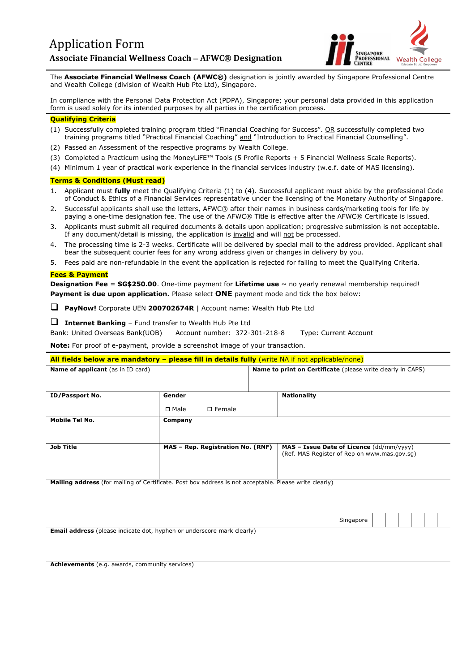

The **Associate Financial Wellness Coach (AFWC®)** designation is jointly awarded by Singapore Professional Centre and Wealth College (division of Wealth Hub Pte Ltd), Singapore.

In compliance with the Personal Data Protection Act (PDPA), Singapore; your personal data provided in this application form is used solely for its intended purposes by all parties in the certification process.

## **Qualifying Criteria**

- (1) Successfully completed training program titled "Financial Coaching for Success". OR successfully completed two training programs titled "Practical Financial Coaching" and "Introduction to Practical Financial Counselling".
- (2) Passed an Assessment of the respective programs by Wealth College.
- (3) Completed a Practicum using the MoneyLiFE™ Tools (5 Profile Reports + 5 Financial Wellness Scale Reports).

(4) Minimum 1 year of practical work experience in the financial services industry (w.e.f. date of MAS licensing).

# **Terms & Conditions (Must read)**

- 1. Applicant must **fully** meet the Qualifying Criteria (1) to (4). Successful applicant must abide by the professional Code of Conduct & Ethics of a Financial Services representative under the licensing of the Monetary Authority of Singapore.
- 2. Successful applicants shall use the letters, AFWC® after their names in business cards/marketing tools for life by paying a one-time designation fee. The use of the AFWC® Title is effective after the AFWC® Certificate is issued.
- 3. Applicants must submit all required documents & details upon application; progressive submission is not acceptable. If any document/detail is missing, the application is invalid and will not be processed.
- 4. The processing time is 2-3 weeks. Certificate will be delivered by special mail to the address provided. Applicant shall bear the subsequent courier fees for any wrong address given or changes in delivery by you.
- 5. Fees paid are non-refundable in the event the application is rejected for failing to meet the Qualifying Criteria.

#### **Fees & Payment**

**Designation Fee** = **SG\$250.00**. One-time payment for **Lifetime use** ~ no yearly renewal membership required! **Payment is due upon application.** Please select **ONE** payment mode and tick the box below:

❑ **PayNow!** Corporate UEN **200702674R** | Account name: Wealth Hub Pte Ltd

❑ **Internet Banking** – Fund transfer to Wealth Hub Pte Ltd

Bank: United Overseas Bank(UOB) Account number: 372-301-218-8 Type: Current Account

**Note:** For proof of e-payment, provide a screenshot image of your transaction.

| All fields below are mandatory - please fill in details fully (write NA if not applicable/none) |                                                                    |  |  |  |  |
|-------------------------------------------------------------------------------------------------|--------------------------------------------------------------------|--|--|--|--|
|                                                                                                 | <b>Name to print on Certificate</b> (please write clearly in CAPS) |  |  |  |  |
|                                                                                                 |                                                                    |  |  |  |  |
| Gender                                                                                          | <b>Nationality</b>                                                 |  |  |  |  |
| □ Male<br>$\square$ Female                                                                      |                                                                    |  |  |  |  |
| Company                                                                                         |                                                                    |  |  |  |  |
|                                                                                                 |                                                                    |  |  |  |  |
| MAS - Rep. Registration No. (RNF)                                                               | $MAS - Issue Date of License (dd/mm/yyy)$                          |  |  |  |  |
|                                                                                                 | (Ref. MAS Register of Rep on www.mas.gov.sq)                       |  |  |  |  |
|                                                                                                 |                                                                    |  |  |  |  |
|                                                                                                 |                                                                    |  |  |  |  |

**Mailing address** (for mailing of Certificate. Post box address is not acceptable. Please write clearly)

|                                       |  |  | $-1$<br>Singapore<br><u>_</u><br>$\sim$ $\sim$ |  |  |  |
|---------------------------------------|--|--|------------------------------------------------|--|--|--|
| $\overline{\phantom{0}}$<br>$\cdot$ . |  |  |                                                |  |  |  |

**Email address** (please indicate dot, hyphen or underscore mark clearly)

**Achievements** (e.g. awards, community services)